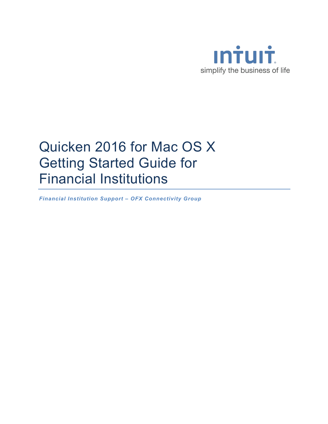

# Quicken 2016 for Mac OS X Getting Started Guide for Financial Institutions

*Financial Institution Support – OFX Connectivity Group*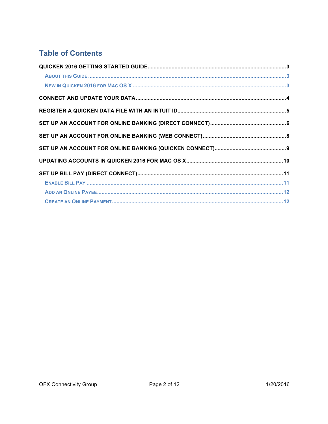# **Table of Contents**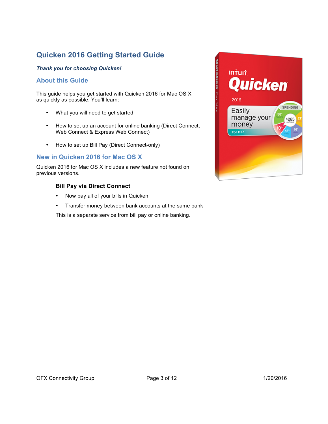## **Quicken 2016 Getting Started Guide**

#### *Thank you for choosing Quicken!*

#### **About this Guide**

This guide helps you get started with Quicken 2016 for Mac OS X as quickly as possible. You'll learn:

- What you will need to get started
- How to set up an account for online banking (Direct Connect, Web Connect & Express Web Connect)
- How to set up Bill Pay (Direct Connect-only)

#### **New in Quicken 2016 for Mac OS X**

Quicken 2016 for Mac OS X includes a new feature not found on previous versions.

#### **Bill Pay via Direct Connect**

- Now pay all of your bills in Quicken
- Transfer money between bank accounts at the same bank

This is a separate service from bill pay or online banking.

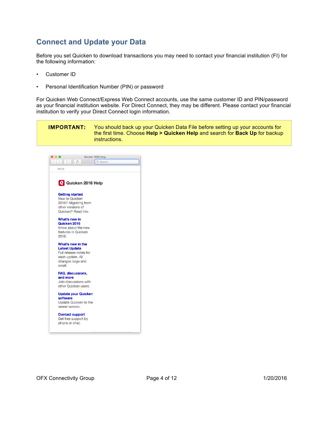## **Connect and Update your Data**

Before you set Quicken to download transactions you may need to contact your financial institution (FI) for the following information:

- Customer ID
- Personal Identification Number (PIN) or password

For Quicken Web Connect/Express Web Connect accounts, use the same customer ID and PIN/password as your financial institution website. For Direct Connect, they may be different. Please contact your financial institution to verify your Direct Connect login information.

IMPORTANT: You should back up your Quicken Data File before setting up your accounts for the first time. Choose **Help > Quicken Help** and search for **Back Up** for backup instructions.

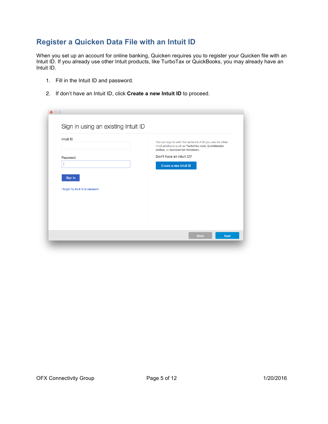## **Register a Quicken Data File with an Intuit ID**

When you set up an account for online banking, Quicken requires you to register your Quicken file with an Intuit ID. If you already use other Intuit products, like TurboTax or QuickBooks, you may already have an Intuit ID.

- 1. Fill in the Intuit ID and password.
- 2. If don't have an Intuit ID, click **Create a new Intuit ID** to proceed.

| Intuit ID                         | You can sign in with the same Intuit ID you use for other<br>Intuit products such as TurboTax.com, Quickbooks |
|-----------------------------------|---------------------------------------------------------------------------------------------------------------|
| Password                          | Online, or Quicken for Windows.<br>Don't have an Intuit ID?                                                   |
|                                   | Create a new Intuit ID                                                                                        |
|                                   |                                                                                                               |
| Sign In                           |                                                                                                               |
| I forgot my Intuit ID or password |                                                                                                               |
|                                   |                                                                                                               |
|                                   |                                                                                                               |
|                                   |                                                                                                               |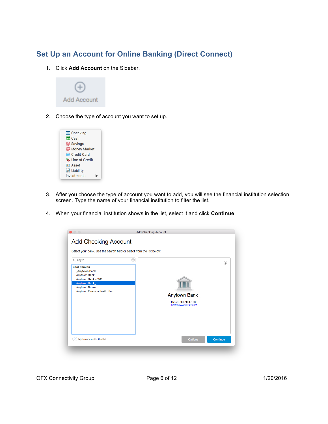### **Set Up an Account for Online Banking (Direct Connect)**

1. Click **Add Account** on the Sidebar.



2. Choose the type of account you want to set up.



- 3. After you choose the type of account you want to add, you will see the financial institution selection screen. Type the name of your financial institution to filter the list.
- 4. When your financial institution shows in the list, select it and click **Continue**.

| Select your bank. Use the search field or select from the list below.                                                                                                                 |                                                                      |
|---------------------------------------------------------------------------------------------------------------------------------------------------------------------------------------|----------------------------------------------------------------------|
| $\bullet$<br>$Q$ anyto<br><b>Best Results</b><br>_Anytown Bank<br><b>Anytown Bank</b><br>Anytown Bank - WC<br>Anytown Bank_<br><b>Anytown Broker</b><br>Anytown Financial Institution | (i)<br>Anytown Bank_<br>Phone: 800-900-1000<br>http://www.intuit.com |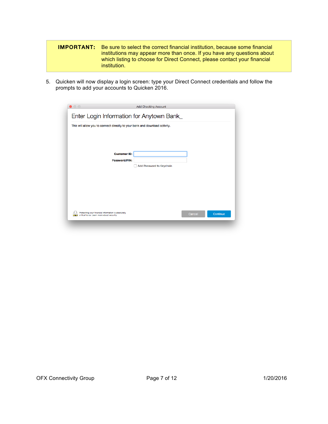| <b>IMPORTANT:</b> | Be sure to select the correct financial institution, because some financial |
|-------------------|-----------------------------------------------------------------------------|
|                   | institutions may appear more than once. If you have any questions about     |
|                   | which listing to choose for Direct Connect, please contact your financial   |
|                   | institution.                                                                |

5. Quicken will now display a login screen: type your Direct Connect credentials and follow the prompts to add your accounts to Quicken 2016.

| $\circ$                                                                                           | <b>Add Checking Account</b>                                                 |                    |
|---------------------------------------------------------------------------------------------------|-----------------------------------------------------------------------------|--------------------|
|                                                                                                   | Enter Login Information for Anytown Bank_                                   |                    |
|                                                                                                   | This will allow you to connect directly to your bank and download activity. |                    |
|                                                                                                   |                                                                             |                    |
|                                                                                                   |                                                                             |                    |
|                                                                                                   | <b>Customer ID:</b>                                                         |                    |
|                                                                                                   | Password/PIN:<br>Add Password to Keychain                                   |                    |
|                                                                                                   |                                                                             |                    |
|                                                                                                   |                                                                             |                    |
|                                                                                                   |                                                                             |                    |
|                                                                                                   |                                                                             |                    |
|                                                                                                   |                                                                             |                    |
| Protecting your financial information is absolutely<br>critical to us. Learn more about security. |                                                                             | Continue<br>Cancel |
|                                                                                                   |                                                                             |                    |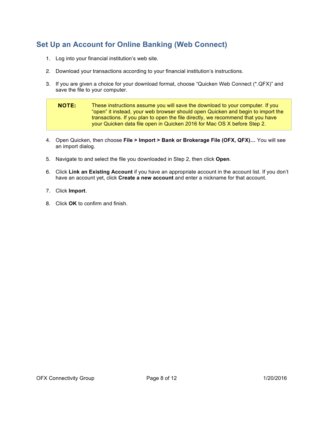# **Set Up an Account for Online Banking (Web Connect)**

- 1. Log into your financial institution's web site.
- 2. Download your transactions according to your financial institution's instructions.
- 3. If you are given a choice for your download format, choose "Quicken Web Connect (\*.QFX)" and save the file to your computer.

**NOTE:** These instructions assume you will save the download to your computer. If you "open" it instead, your web browser should open Quicken and begin to import the transactions. If you plan to open the file directly, we recommend that you have your Quicken data file open in Quicken 2016 for Mac OS X before Step 2.

- 4. Open Quicken, then choose **File > Import > Bank or Brokerage File (OFX, QFX)…** You will see an import dialog.
- 5. Navigate to and select the file you downloaded in Step 2, then click **Open**.
- 6. Click **Link an Existing Account** if you have an appropriate account in the account list. If you don't have an account yet, click **Create a new account** and enter a nickname for that account.
- 7. Click **Import**.
- 8. Click **OK** to confirm and finish.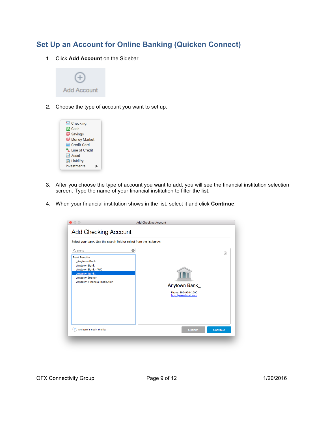# **Set Up an Account for Online Banking (Quicken Connect)**

1. Click **Add Account** on the Sidebar.



2. Choose the type of account you want to set up.



- 3. After you choose the type of account you want to add, you will see the financial institution selection screen. Type the name of your financial institution to filter the list.
- 4. When your financial institution shows in the list, select it and click **Continue**.

| Select your bank. Use the search field or select from the list below.                                                                                                          |                                                                                        |     |
|--------------------------------------------------------------------------------------------------------------------------------------------------------------------------------|----------------------------------------------------------------------------------------|-----|
| $Q$ anyto<br><b>Best Results</b><br><b>Anytown Bank</b><br><b>Anytown Bank</b><br>Anytown Bank - WC<br>Anytown Bank_<br><b>Anytown Broker</b><br>Anytown Financial Institution | $\boldsymbol{\omega}$<br>Anytown Bank_<br>Phone: 800-900-1000<br>http://www.intuit.com | (i) |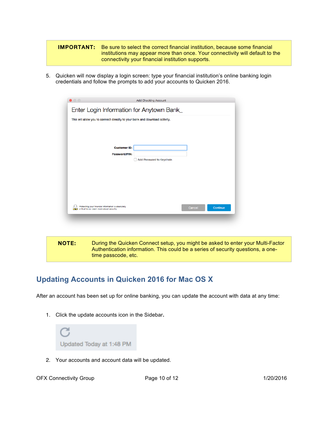#### **IMPORTANT:** Be sure to select the correct financial institution, because some financial institutions may appear more than once. Your connectivity will default to the connectivity your financial institution supports.

5. Quicken will now display a login screen: type your financial institution's online banking login credentials and follow the prompts to add your accounts to Quicken 2016.

| $\bullet\circ\circ$                                                                               | Add Checking Account                      |        |          |
|---------------------------------------------------------------------------------------------------|-------------------------------------------|--------|----------|
|                                                                                                   | Enter Login Information for Anytown Bank_ |        |          |
| This will allow you to connect directly to your bank and download activity.                       |                                           |        |          |
|                                                                                                   |                                           |        |          |
|                                                                                                   |                                           |        |          |
| <b>Customer ID:</b>                                                                               |                                           |        |          |
| Password/PIN:                                                                                     | Add Password to Keychain                  |        |          |
|                                                                                                   |                                           |        |          |
|                                                                                                   |                                           |        |          |
|                                                                                                   |                                           |        |          |
|                                                                                                   |                                           |        |          |
|                                                                                                   |                                           |        |          |
| Protecting your financial information is absolutely<br>critical to us. Learn more about security. |                                           | Cancel | Continue |

NOTE: During the Quicken Connect setup, you might be asked to enter your Multi-Factor Authentication information. This could be a series of security questions, a onetime passcode, etc.

### **Updating Accounts in Quicken 2016 for Mac OS X**

After an account has been set up for online banking, you can update the account with data at any time:

1. Click the update accounts icon in the Sidebar**.**



2. Your accounts and account data will be updated.

OFX Connectivity Group **Page 10 of 12** 1/20/2016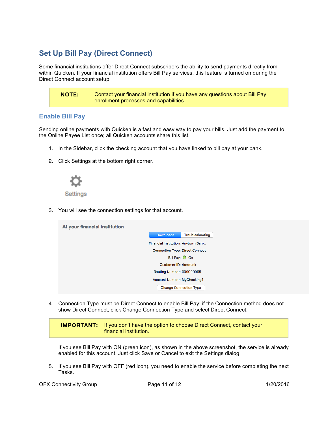## **Set Up Bill Pay (Direct Connect)**

Some financial institutions offer Direct Connect subscribers the ability to send payments directly from within Quicken. If your financial institution offers Bill Pay services, this feature is turned on during the Direct Connect account setup.

NOTE: Contact your financial institution if you have any questions about Bill Pay enrollment processes and capabilities.

#### **Enable Bill Pay**

Sending online payments with Quicken is a fast and easy way to pay your bills. Just add the payment to the Online Payee List once; all Quicken accounts share this list.

- 1. In the Sidebar, click the checking account that you have linked to bill pay at your bank.
- 2. Click Settings at the bottom right corner.



Settings

3. You will see the connection settings for that account.

| At your financial institution |                                        |                 |
|-------------------------------|----------------------------------------|-----------------|
|                               | <b>Downloads</b>                       | Troubleshooting |
|                               | Financial Institution: Anytown Bank    |                 |
|                               | <b>Connection Type: Direct Connect</b> |                 |
|                               | Bill Pay: O On                         |                 |
|                               | Customer ID: rberduck                  |                 |
|                               | Routing Number: 999999995              |                 |
|                               | Account Number: MyChecking1            |                 |
|                               | <b>Change Connection Type</b>          |                 |

4. Connection Type must be Direct Connect to enable Bill Pay; if the Connection method does not show Direct Connect, click Change Connection Type and select Direct Connect.

IMPORTANT: If you don't have the option to choose Direct Connect, contact your financial institution.

If you see Bill Pay with ON (green icon), as shown in the above screenshot, the service is already enabled for this account. Just click Save or Cancel to exit the Settings dialog.

5. If you see Bill Pay with OFF (red icon), you need to enable the service before completing the next Tasks.

OFX Connectivity Group **Page 11 of 12** 1/20/2016